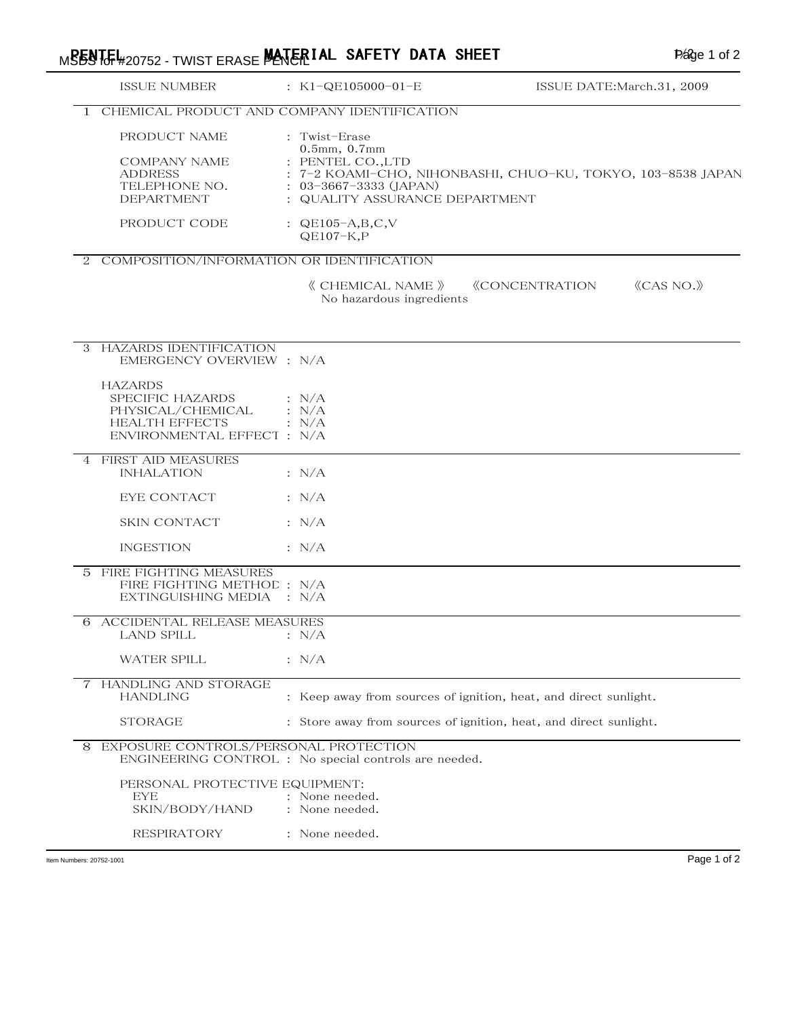## M**SBNTGL**#20752 - TWIST ERASE **MATERIAL SAFETY DATA SHEET** THE THEORY OF 2

| ISSUE NUMBER                                                                                                                              | : K1-QE105000-01-E                                                                                                   | ISSUE DATE: March. 31, 2009                                        |
|-------------------------------------------------------------------------------------------------------------------------------------------|----------------------------------------------------------------------------------------------------------------------|--------------------------------------------------------------------|
|                                                                                                                                           | 1 CHEMICAL PRODUCT AND COMPANY IDENTIFICATION                                                                        |                                                                    |
| PRODUCT NAME<br><b>COMPANY NAME</b><br><b>ADDRESS</b><br>TELEPHONE NO.<br><b>DEPARTMENT</b>                                               | : Twist-Erase<br>0.5mm, 0.7mm<br>: PENTEL CO., LTD<br>$: 03 - 3667 - 3333$ (JAPAN)<br>: QUALITY ASSURANCE DEPARTMENT | : 7–2 KOAMI–CHO, NIHONBASHI, CHUO–KU, TOKYO, 103–8538 JAPAN        |
| PRODUCT CODE                                                                                                                              | : $QE105-A,B,C,V$<br>QE107-K,P                                                                                       |                                                                    |
|                                                                                                                                           | 2 COMPOSITION/INFORMATION OR IDENTIFICATION                                                                          |                                                                    |
|                                                                                                                                           | $\langle$ CHEMICAL NAME $\rangle$<br>No hazardous ingredients                                                        | <b><i><u>KCONCENTRATION</u></i></b><br>$\langle$ CAS NO. $\rangle$ |
| 3 HAZARDS IDENTIFICATION                                                                                                                  |                                                                                                                      |                                                                    |
| EMERGENCY OVERVIEW : N/A<br><b>HAZARDS</b><br>SPECIFIC HAZARDS<br>PHYSICAL/CHEMICAL<br><b>HEALTH EFFECTS</b><br>ENVIRONMENTAL EFFECT: N/A | : N/A<br>: N/A<br>: N/A                                                                                              |                                                                    |
| 4 FIRST AID MEASURES                                                                                                                      |                                                                                                                      |                                                                    |
| <b>INHALATION</b>                                                                                                                         | : N/A                                                                                                                |                                                                    |
| EYE CONTACT                                                                                                                               | : N/A                                                                                                                |                                                                    |
| SKIN CONTACT                                                                                                                              | : N/A                                                                                                                |                                                                    |
| <b>INGESTION</b>                                                                                                                          | : N/A                                                                                                                |                                                                    |
| 5 FIRE FIGHTING MEASURES<br>FIRE FIGHTING METHOL: N/A<br>EXTINGUISHING MEDIA : N/A                                                        |                                                                                                                      |                                                                    |
| <b>6 ACCIDENTAL RELEASE MEASURES</b><br><b>LAND SPILL</b>                                                                                 | : N/A                                                                                                                |                                                                    |
| <b>WATER SPILL</b>                                                                                                                        | : N/A                                                                                                                |                                                                    |
| <b>HANDLING AND STORAGE</b><br>7<br><b>HANDLING</b>                                                                                       |                                                                                                                      | : Keep away from sources of ignition, heat, and direct sunlight.   |
| <b>STORAGE</b>                                                                                                                            |                                                                                                                      | : Store away from sources of ignition, heat, and direct sunlight.  |
| 8                                                                                                                                         | EXPOSURE CONTROLS/PERSONAL PROTECTION<br>ENGINEERING CONTROL : No special controls are needed.                       |                                                                    |
| EYE<br>SKIN/BODY/HAND                                                                                                                     | PERSONAL PROTECTIVE EQUIPMENT:<br>None needed.<br>None needed.                                                       |                                                                    |
| <b>RESPIRATORY</b>                                                                                                                        | : None needed.                                                                                                       |                                                                    |
| Item Numbers: 20752-1001                                                                                                                  |                                                                                                                      | Page 1 of 2                                                        |